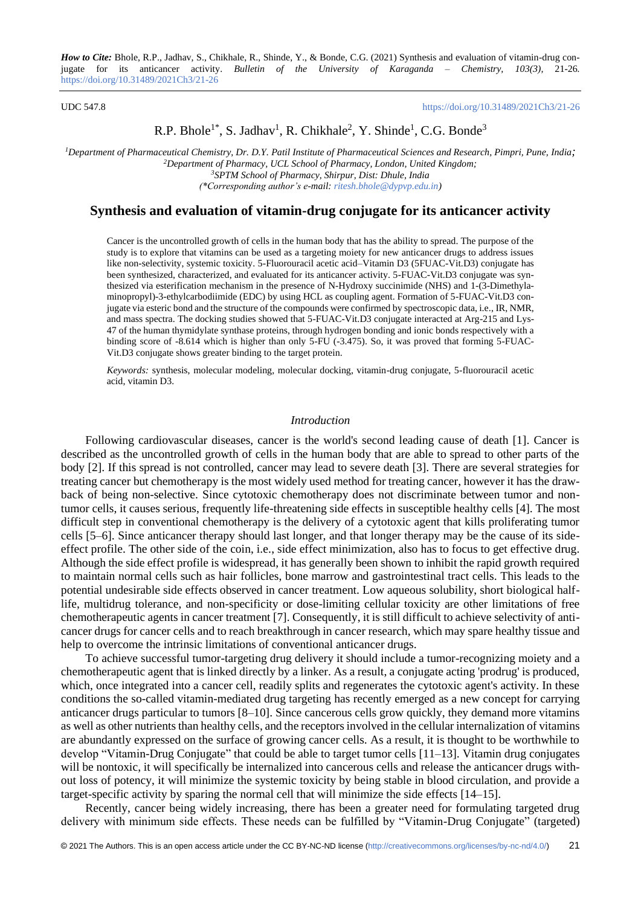#### UDC 547.8 <https://doi.org/10.31489/2021Ch3/21-26>

# R.P. Bhole<sup>1\*</sup>, S. Jadhav<sup>1</sup>, R. Chikhale<sup>2</sup>, Y. Shinde<sup>1</sup>, C.G. Bonde<sup>3</sup>

*Department of Pharmaceutical Chemistry, Dr. D.Y. Patil Institute of Pharmaceutical Sciences and Research, Pimpri, Pune, India; Department of Pharmacy, UCL School of Pharmacy, London, United Kingdom; SPTM School of Pharmacy, Shirpur, Dist: Dhule, India (\*Corresponding author's e-mail: [ritesh.bhole@dypvp.edu.in\)](mailto:ritesh.bhole@dypvp.edu.in)*

## **Synthesis and evaluation of vitamin-drug conjugate for its anticancer activity**

Cancer is the uncontrolled growth of cells in the human body that has the ability to spread. The purpose of the study is to explore that vitamins can be used as a targeting moiety for new anticancer drugs to address issues like non-selectivity, systemic toxicity. 5-Fluorouracil acetic acid–Vitamin D3 (5FUAC-Vit.D3) conjugate has been synthesized, characterized, and evaluated for its anticancer activity. 5-FUAC-Vit.D3 conjugate was synthesized via esterification mechanism in the presence of N-Hydroxy succinimide (NHS) and 1-(3-Dimethylaminopropyl)-3-ethylcarbodiimide (EDC) by using HCL as coupling agent. Formation of 5-FUAC-Vit.D3 conjugate via esteric bond and the structure of the compounds were confirmed by spectroscopic data, i.e., IR, NMR, and mass spectra. The docking studies showed that 5-FUAC-Vit.D3 conjugate interacted at Arg-215 and Lys-47 of the human thymidylate synthase proteins, through hydrogen bonding and ionic bonds respectively with a binding score of -8.614 which is higher than only 5-FU (-3.475). So, it was proved that forming 5-FUAC-Vit.D3 conjugate shows greater binding to the target protein.

*Keywords:* synthesis, molecular modeling, molecular docking, vitamin-drug conjugate, 5-fluorouracil acetic acid, vitamin D3.

### *Introduction*

Following cardiovascular diseases, cancer is the world's second leading cause of death [1]. Cancer is described as the uncontrolled growth of cells in the human body that are able to spread to other parts of the body [2]. If this spread is not controlled, cancer may lead to severe death [3]. There are several strategies for treating cancer but chemotherapy is the most widely used method for treating cancer, however it has the drawback of being non-selective. Since cytotoxic chemotherapy does not discriminate between tumor and nontumor cells, it causes serious, frequently life-threatening side effects in susceptible healthy cells [4]. The most difficult step in conventional chemotherapy is the delivery of a cytotoxic agent that kills proliferating tumor cells [5–6]. Since anticancer therapy should last longer, and that longer therapy may be the cause of its sideeffect profile. The other side of the coin, i.e., side effect minimization, also has to focus to get effective drug. Although the side effect profile is widespread, it has generally been shown to inhibit the rapid growth required to maintain normal cells such as hair follicles, bone marrow and gastrointestinal tract cells. This leads to the potential undesirable side effects observed in cancer treatment. Low aqueous solubility, short biological halflife, multidrug tolerance, and non-specificity or dose-limiting cellular toxicity are other limitations of free chemotherapeutic agents in cancer treatment [7]. Consequently, it is still difficult to achieve selectivity of anticancer drugs for cancer cells and to reach breakthrough in cancer research, which may spare healthy tissue and help to overcome the intrinsic limitations of conventional anticancer drugs.

To achieve successful tumor-targeting drug delivery it should include a tumor-recognizing moiety and a chemotherapeutic agent that is linked directly by a linker. As a result, a conjugate acting 'prodrug' is produced, which, once integrated into a cancer cell, readily splits and regenerates the cytotoxic agent's activity. In these conditions the so-called vitamin-mediated drug targeting has recently emerged as a new concept for carrying anticancer drugs particular to tumors [8–10]. Since cancerous cells grow quickly, they demand more vitamins as well as other nutrients than healthy cells, and the receptors involved in the cellular internalization of vitamins are abundantly expressed on the surface of growing cancer cells. As a result, it is thought to be worthwhile to develop "Vitamin-Drug Conjugate" that could be able to target tumor cells [11–13]. Vitamin drug conjugates will be nontoxic, it will specifically be internalized into cancerous cells and release the anticancer drugs without loss of potency, it will minimize the systemic toxicity by being stable in blood circulation, and provide a target-specific activity by sparing the normal cell that will minimize the side effects [14–15].

Recently, cancer being widely increasing, there has been a greater need for formulating targeted drug delivery with minimum side effects. These needs can be fulfilled by "Vitamin-Drug Conjugate" (targeted)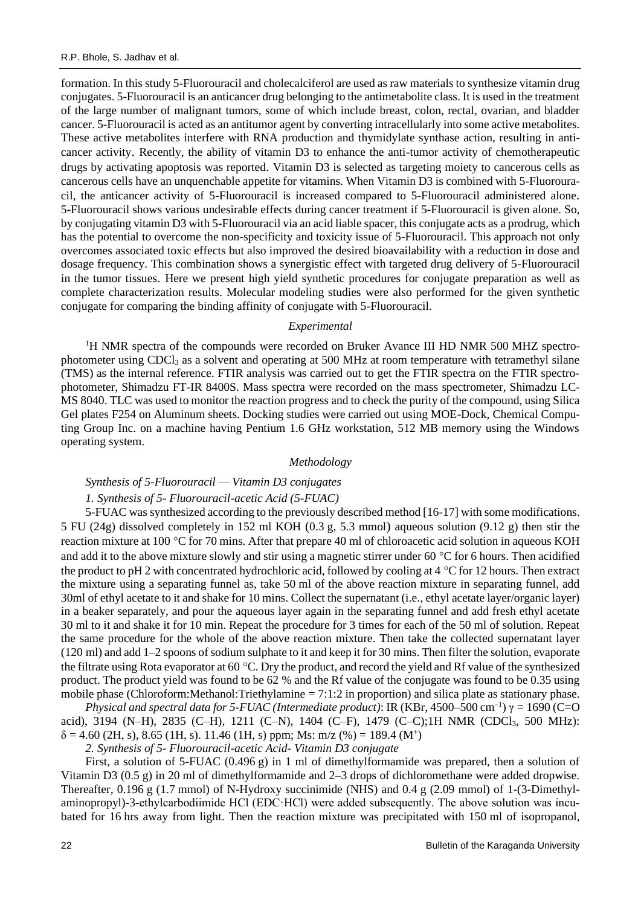formation. In this study 5-Fluorouracil and cholecalciferol are used as raw materials to synthesize vitamin drug conjugates. 5-Fluorouracil is an anticancer drug belonging to the antimetabolite class. It is used in the treatment of the large number of malignant tumors, some of which include breast, colon, rectal, ovarian, and bladder cancer. 5-Fluorouracil is acted as an antitumor agent by converting intracellularly into some active metabolites. These active metabolites interfere with RNA production and thymidylate synthase action, resulting in anticancer activity. Recently, the ability of vitamin D3 to enhance the anti-tumor activity of chemotherapeutic drugs by activating apoptosis was reported. Vitamin D3 is selected as targeting moiety to cancerous cells as cancerous cells have an unquenchable appetite for vitamins. When Vitamin D3 is combined with 5-Fluorouracil, the anticancer activity of 5-Fluorouracil is increased compared to 5-Fluorouracil administered alone. 5-Fluorouracil shows various undesirable effects during cancer treatment if 5-Fluorouracil is given alone. So, by conjugating vitamin D3 with 5-Fluorouracil via an acid liable spacer, this conjugate acts as a prodrug, which has the potential to overcome the non-specificity and toxicity issue of 5-Fluorouracil. This approach not only overcomes associated toxic effects but also improved the desired bioavailability with a reduction in dose and dosage frequency. This combination shows a synergistic effect with targeted drug delivery of 5-Fluorouracil in the tumor tissues. Here we present high yield synthetic procedures for conjugate preparation as well as complete characterization results. Molecular modeling studies were also performed for the given synthetic conjugate for comparing the binding affinity of conjugate with 5-Fluorouracil.

### *Experimental*

<sup>1</sup>H NMR spectra of the compounds were recorded on Bruker Avance III HD NMR 500 MHZ spectrophotometer using CDCl<sub>3</sub> as a solvent and operating at 500 MHz at room temperature with tetramethyl silane (TMS) as the internal reference. FTIR analysis was carried out to get the FTIR spectra on the FTIR spectrophotometer, Shimadzu FT-IR 8400S. Mass spectra were recorded on the mass spectrometer, Shimadzu LC-MS 8040. TLC was used to monitor the reaction progress and to check the purity of the compound, using Silica Gel plates F254 on Aluminum sheets. Docking studies were carried out using MOE-Dock, Chemical Computing Group Inc. on a machine having Pentium 1.6 GHz workstation, 512 MB memory using the Windows operating system.

#### *Methodology*

### *Synthesis of 5-Fluorouracil — Vitamin D3 conjugates*

#### *1. Synthesis of 5- Fluorouracil-acetic Acid (5-FUAC)*

5-FUAC was synthesized according to the previously described method [16-17] with some modifications. 5 FU (24g) dissolved completely in 152 ml KOH (0.3 g, 5.3 mmol) aqueous solution (9.12 g) then stir the reaction mixture at 100 °C for 70 mins. After that prepare 40 ml of chloroacetic acid solution in aqueous KOH and add it to the above mixture slowly and stir using a magnetic stirrer under 60  $\degree$ C for 6 hours. Then acidified the product to pH 2 with concentrated hydrochloric acid, followed by cooling at  $4^{\circ}$ C for 12 hours. Then extract the mixture using a separating funnel as, take 50 ml of the above reaction mixture in separating funnel, add 30ml of ethyl acetate to it and shake for 10 mins. Collect the supernatant (i.e., ethyl acetate layer/organic layer) in a beaker separately, and pour the aqueous layer again in the separating funnel and add fresh ethyl acetate 30 ml to it and shake it for 10 min. Repeat the procedure for 3 times for each of the 50 ml of solution. Repeat the same procedure for the whole of the above reaction mixture. Then take the collected supernatant layer (120 ml) and add 1–2 spoons of sodium sulphate to it and keep it for 30 mins. Then filter the solution, evaporate the filtrate using Rota evaporator at 60 °C. Dry the product, and record the yield and Rf value of the synthesized product. The product yield was found to be 62 % and the Rf value of the conjugate was found to be 0.35 using mobile phase (Chloroform:Methanol:Triethylamine = 7:1:2 in proportion) and silica plate as stationary phase.

*Physical and spectral data for 5-FUAC (Intermediate product)*: IR (KBr, 4500–500 cm<sup>-1</sup>)  $\gamma = 1690$  (C=O acid), 3194 (N-H), 2835 (C-H), 1211 (C-N), 1404 (C-F), 1479 (C-C);1H NMR (CDCl<sub>3</sub>, 500 MHz):  $\delta$  = 4.60 (2H, s), 8.65 (1H, s). 11.46 (1H, s) ppm; Ms: m/z (%) = 189.4 (M<sup>+</sup>)

*2. Synthesis of 5- Fluorouracil-acetic Acid- Vitamin D3 conjugate*

First, a solution of 5-FUAC (0.496 g) in 1 ml of dimethylformamide was prepared, then a solution of Vitamin D3 (0.5 g) in 20 ml of dimethylformamide and 2–3 drops of dichloromethane were added dropwise. Thereafter, 0.196 g (1.7 mmol) of N-Hydroxy succinimide (NHS) and 0.4 g (2.09 mmol) of 1-(3-Dimethylaminopropyl)-3-ethylcarbodiimide HCl (EDC·HCl) were added subsequently. The above solution was incubated for 16 hrs away from light. Then the reaction mixture was precipitated with 150 ml of isopropanol,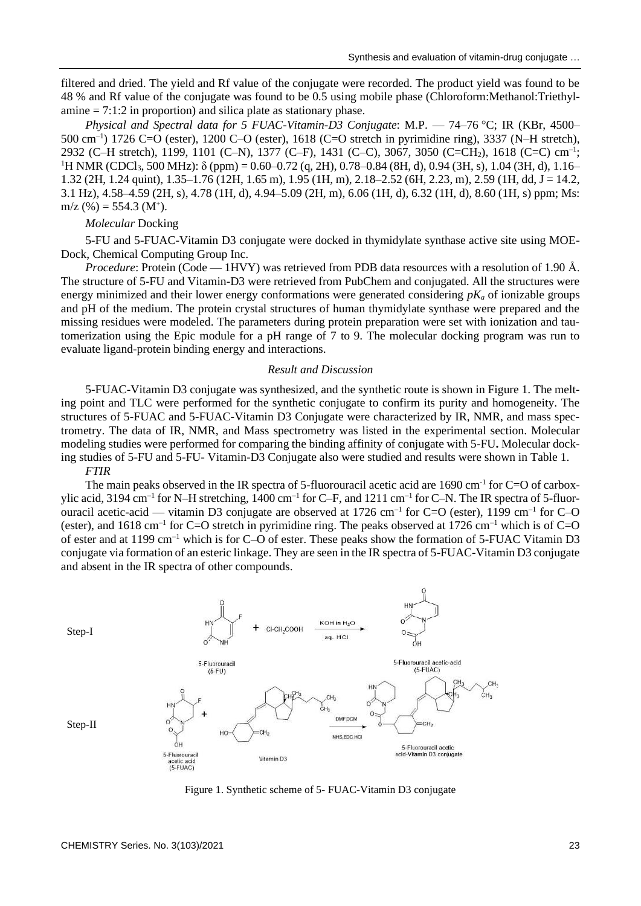filtered and dried. The yield and Rf value of the conjugate were recorded. The product yield was found to be 48 % and Rf value of the conjugate was found to be 0.5 using mobile phase (Chloroform:Methanol:Triethylamine  $= 7:1:2$  in proportion) and silica plate as stationary phase.

*Physical and Spectral data for 5 FUAC-Vitamin-D3 Conjugate*: M.P. — 74–76 C; IR (KBr, 4500– 500 cm–1 ) 1726 C=O (ester), 1200 C–O (ester), 1618 (C=O stretch in pyrimidine ring), 3337 (N–H stretch), 2932 (C-H stretch), 1199, 1101 (C-N), 1377 (C-F), 1431 (C-C), 3067, 3050 (C=CH<sub>2</sub>), 1618 (C=C) cm<sup>-1</sup>;  $1_H$  NMR (CDCl<sub>3</sub>, 500 MHz):  $\delta$  (ppm) = 0.60–0.72 (q, 2H), 0.78–0.84 (8H, d), 0.94 (3H, s), 1.04 (3H, d), 1.16– 1.32 (2H, 1.24 quint), 1.35–1.76 (12H, 1.65 m), 1.95 (1H, m), 2.18–2.52 (6H, 2.23, m), 2.59 (1H, dd, J = 14.2, 3.1 Hz), 4.58–4.59 (2H, s), 4.78 (1H, d), 4.94–5.09 (2H, m), 6.06 (1H, d), 6.32 (1H, d), 8.60 (1H, s) ppm; Ms:  $m/z$  (%) = 554.3 (M<sup>+</sup>).

### *Molecular* Docking

5-FU and 5-FUAC-Vitamin D3 conjugate were docked in thymidylate synthase active site using MOE-Dock, Chemical Computing Group Inc.

*Procedure*: Protein (Code — 1HVY) was retrieved from PDB data resources with a resolution of 1.90 Å. The structure of 5-FU and Vitamin-D3 were retrieved from PubChem and conjugated. All the structures were energy minimized and their lower energy conformations were generated considering *pK<sup>a</sup>* of ionizable groups and pH of the medium. The protein crystal structures of human thymidylate synthase were prepared and the missing residues were modeled. The parameters during protein preparation were set with ionization and tautomerization using the Epic module for a pH range of 7 to 9. The molecular docking program was run to evaluate ligand-protein binding energy and interactions.

#### *Result and Discussion*

5-FUAC-Vitamin D3 conjugate was synthesized, and the synthetic route is shown in Figure 1. The melting point and TLC were performed for the synthetic conjugate to confirm its purity and homogeneity. The structures of 5-FUAC and 5-FUAC-Vitamin D3 Conjugate were characterized by IR, NMR, and mass spectrometry. The data of IR, NMR, and Mass spectrometry was listed in the experimental section. Molecular modeling studies were performed for comparing the binding affinity of conjugate with 5-FU**.** Molecular docking studies of 5-FU and 5-FU- Vitamin-D3 Conjugate also were studied and results were shown in Table 1.

### *FTIR*

The main peaks observed in the IR spectra of 5-fluorouracil acetic acid are 1690 cm<sup>-1</sup> for C=O of carboxylic acid, 3194 cm<sup>-1</sup> for N–H stretching, 1400 cm<sup>-1</sup> for C–F, and 1211 cm<sup>-1</sup> for C–N. The IR spectra of 5-fluorouracil acetic-acid — vitamin D3 conjugate are observed at 1726 cm<sup>-1</sup> for C=O (ester), 1199 cm<sup>-1</sup> for C-O (ester), and  $1618 \text{ cm}^{-1}$  for C=O stretch in pyrimidine ring. The peaks observed at  $1726 \text{ cm}^{-1}$  which is of C=O of ester and at 1199 cm–1 which is for C–O of ester. These peaks show the formation of 5-FUAC Vitamin D3 conjugate via formation of an esteric linkage. They are seen in the IR spectra of 5-FUAC-Vitamin D3 conjugate and absent in the IR spectra of other compounds.



Figure 1. Synthetic scheme of 5- FUAC-Vitamin D3 conjugate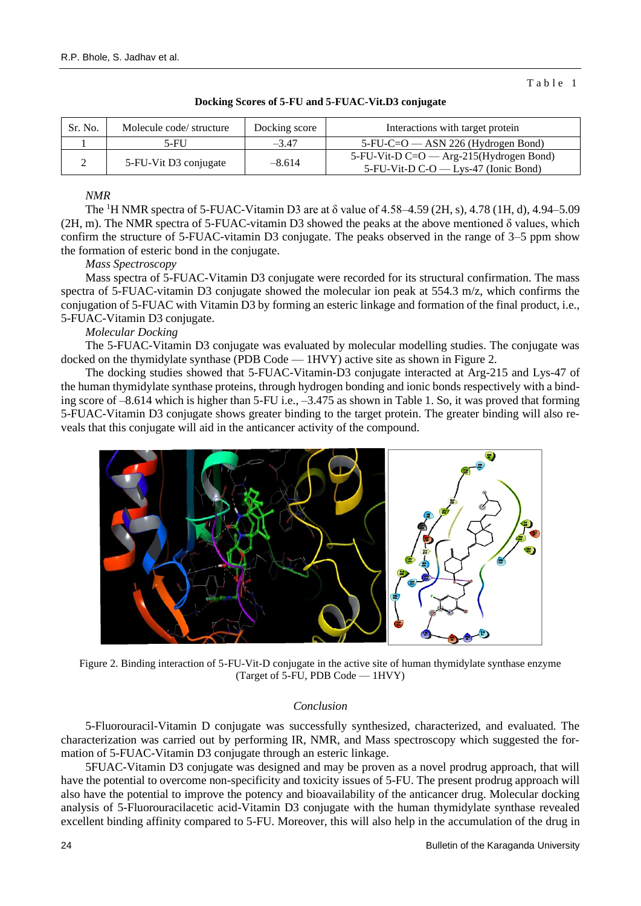Table 1

| Sr. No. | Molecule code/ structure | Docking score | Interactions with target protein                                                  |
|---------|--------------------------|---------------|-----------------------------------------------------------------------------------|
|         | $5-FU$                   | $-3.47$       | $5$ -FU-C=O — ASN 226 (Hydrogen Bond)                                             |
|         | 5-FU-Vit D3 conjugate    | $-8.614$      | 5-FU-Vit-D C=O — Arg-215(Hydrogen Bond)<br>5-FU-Vit-D $C-O$ - Lys-47 (Ionic Bond) |

#### **Docking Scores of 5-FU and 5-FUAC-Vit.D3 conjugate**

## *NMR*

The <sup>1</sup>H NMR spectra of 5-FUAC-Vitamin D3 are at  $\delta$  value of 4.58–4.59 (2H, s), 4.78 (1H, d), 4.94–5.09 (2H, m). The NMR spectra of 5-FUAC-vitamin D3 showed the peaks at the above mentioned δ values, which confirm the structure of 5-FUAC-vitamin D3 conjugate. The peaks observed in the range of 3–5 ppm show the formation of esteric bond in the conjugate.

#### *Mass Spectroscopy*

Mass spectra of 5-FUAC-Vitamin D3 conjugate were recorded for its structural confirmation. The mass spectra of 5-FUAC-vitamin D3 conjugate showed the molecular ion peak at 554.3 m/z, which confirms the conjugation of 5-FUAC with Vitamin D3 by forming an esteric linkage and formation of the final product, i.e., 5-FUAC-Vitamin D3 conjugate.

### *Molecular Docking*

The 5-FUAC-Vitamin D3 conjugate was evaluated by molecular modelling studies. The conjugate was docked on the thymidylate synthase (PDB Code — 1HVY) active site as shown in Figure 2.

The docking studies showed that 5-FUAC-Vitamin-D3 conjugate interacted at Arg-215 and Lys-47 of the human thymidylate synthase proteins, through hydrogen bonding and ionic bonds respectively with a binding score of –8.614 which is higher than 5-FU i.e., –3.475 as shown in Table 1. So, it was proved that forming 5-FUAC-Vitamin D3 conjugate shows greater binding to the target protein. The greater binding will also reveals that this conjugate will aid in the anticancer activity of the compound.



Figure 2. Binding interaction of 5-FU-Vit-D conjugate in the active site of human thymidylate synthase enzyme (Target of 5-FU, PDB Code — 1HVY)

#### *Conclusion*

5-Fluorouracil-Vitamin D conjugate was successfully synthesized, characterized, and evaluated. The characterization was carried out by performing IR, NMR, and Mass spectroscopy which suggested the formation of 5-FUAC-Vitamin D3 conjugate through an esteric linkage.

5FUAC-Vitamin D3 conjugate was designed and may be proven as a novel prodrug approach, that will have the potential to overcome non-specificity and toxicity issues of 5-FU. The present prodrug approach will also have the potential to improve the potency and bioavailability of the anticancer drug. Molecular docking analysis of 5-Fluorouracilacetic acid-Vitamin D3 conjugate with the human thymidylate synthase revealed excellent binding affinity compared to 5-FU. Moreover, this will also help in the accumulation of the drug in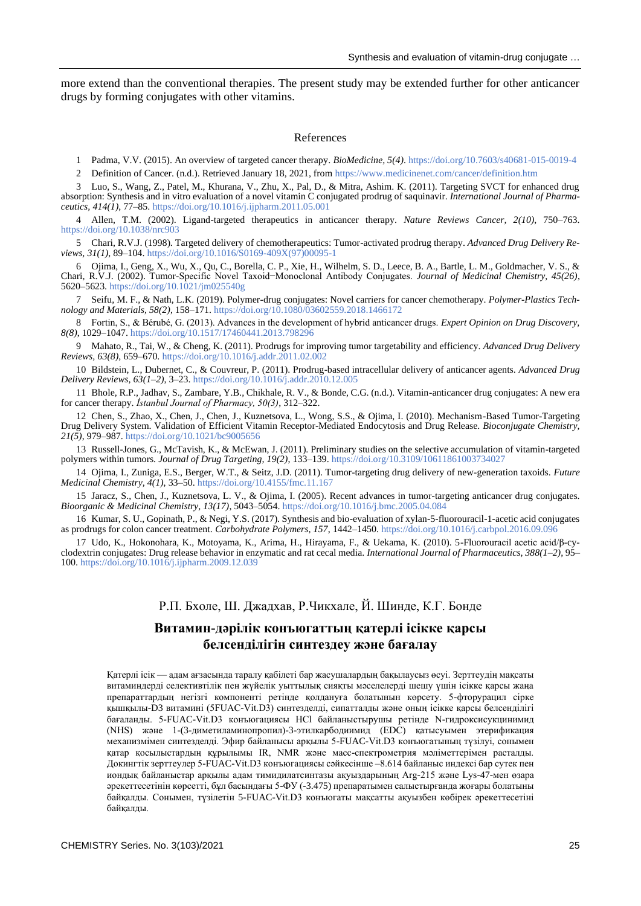more extend than the conventional therapies. The present study may be extended further for other anticancer drugs by forming conjugates with other vitamins.

#### References

1 Padma, V.V. (2015). An overview of targeted cancer therapy. *BioMedicine, 5(4)*[. https://doi.org/10.7603/s40681-015-0019-4](https://doi.org/10.7603/s40681-015-0019-4)

2 Definition of Cancer. (n.d.). Retrieved January 18, 2021, from<https://www.medicinenet.com/cancer/definition.htm>

3 Luo, S., Wang, Z., Patel, M., Khurana, V., Zhu, X., Pal, D., & Mitra, Ashim. K. (2011). Targeting SVCT for enhanced drug absorption: Synthesis and in vitro evaluation of a novel vitamin C conjugated prodrug of saquinavir. *International Journal of Pharmaceutics, 414(1)*, 77–85[. https://doi.org/10.1016/j.ijpharm.2011.05.001](https://doi.org/10.1016/j.ijpharm.2011.05.001)

4 Allen, T.M. (2002). Ligand-targeted therapeutics in anticancer therapy. *Nature Reviews Cancer, 2(10)*, 750–763. <https://doi.org/10.1038/nrc903>

5 Chari, R.V.J. (1998). Targeted delivery of chemotherapeutics: Tumor-activated prodrug therapy. *Advanced Drug Delivery Reviews, 31(1)*, 89–104[. https://doi.org/10.1016/S0169-409X\(97\)00095-1](https://doi.org/10.1016/S0169-409X(97)00095-1)

6 Ojima, I., Geng, X., Wu, X., Qu, C., Borella, C. P., Xie, H., Wilhelm, S. D., Leece, B. A., Bartle, L. M., Goldmacher, V. S., & Chari, R.V.J. (2002). Tumor-Specific Novel Taxoid−Monoclonal Antibody Conjugates. *Journal of Medicinal Chemistry, 45(26)*, 5620–5623[. https://doi.org/10.1021/jm025540g](https://doi.org/10.1021/jm025540g)

7 Seifu, M. F., & Nath, L.K. (2019). Polymer-drug conjugates: Novel carriers for cancer chemotherapy. *Polymer-Plastics Technology and Materials, 58(2)*, 158–171. <https://doi.org/10.1080/03602559.2018.1466172>

8 Fortin, S., & Bérubé, G. (2013). Advances in the development of hybrid anticancer drugs. *Expert Opinion on Drug Discovery, 8(8)*, 1029–1047. <https://doi.org/10.1517/17460441.2013.798296>

9 Mahato, R., Tai, W., & Cheng, K. (2011). Prodrugs for improving tumor targetability and efficiency. *Advanced Drug Delivery Reviews, 63(8)*, 659–670. <https://doi.org/10.1016/j.addr.2011.02.002>

10 Bildstein, L., Dubernet, C., & Couvreur, P. (2011). Prodrug-based intracellular delivery of anticancer agents. *Advanced Drug Delivery Reviews, 63(1–2)*, 3–23. <https://doi.org/10.1016/j.addr.2010.12.005>

11 Bhole, R.P., Jadhav, S., Zambare, Y.B., Chikhale, R. V., & Bonde, C.G. (n.d.). Vitamin-anticancer drug conjugates: A new era for cancer therapy. *İstanbul Journal of Pharmacy, 50(3)*, 312–322.

12 Chen, S., Zhao, X., Chen, J., Chen, J., Kuznetsova, L., Wong, S.S., & Ojima, I. (2010). Mechanism-Based Tumor-Targeting Drug Delivery System. Validation of Efficient Vitamin Receptor-Mediated Endocytosis and Drug Release. *Bioconjugate Chemistry, 21(5)*, 979–987[. https://doi.org/10.1021/bc9005656](https://doi.org/10.1021/bc9005656)

13 Russell-Jones, G., McTavish, K., & McEwan, J. (2011). Preliminary studies on the selective accumulation of vitamin-targeted polymers within tumors. *Journal of Drug Targeting, 19(2)*, 133–139. <https://doi.org/10.3109/10611861003734027>

14 Ojima, I., Zuniga, E.S., Berger, W.T., & Seitz, J.D. (2011). Tumor-targeting drug delivery of new-generation taxoids. *Future Medicinal Chemistry, 4(1)*, 33–50[. https://doi.org/10.4155/fmc.11.167](https://doi.org/10.4155/fmc.11.167)

15 Jaracz, S., Chen, J., Kuznetsova, L. V., & Ojima, I. (2005). Recent advances in tumor-targeting anticancer drug conjugates. *Bioorganic & Medicinal Chemistry, 13(17)*, 5043–5054[. https://doi.org/10.1016/j.bmc.2005.04.084](https://doi.org/10.1016/j.bmc.2005.04.084)

16 Kumar, S. U., Gopinath, P., & Negi, Y.S. (2017). Synthesis and bio-evaluation of xylan-5-fluorouracil-1-acetic acid conjugates as prodrugs for colon cancer treatment. *Carbohydrate Polymers, 157*, 1442–1450. <https://doi.org/10.1016/j.carbpol.2016.09.096>

17 Udo, K., Hokonohara, K., Motoyama, K., Arima, H., Hirayama, F., & Uekama, K. (2010). 5-Fluorouracil acetic acid/β-cyclodextrin conjugates: Drug release behavior in enzymatic and rat cecal media. *International Journal of Pharmaceutics, 388(1–2)*, 95– 100[. https://doi.org/10.1016/j.ijpharm.2009.12.039](https://doi.org/10.1016/j.ijpharm.2009.12.039)

# Р.П. Бхоле, Ш. Джадхав, Р.Чикхале, Й. Шинде, К.Г. Бонде

# **Витамин-дәрілік конъюгаттың қатерлі ісікке қарсы белсенділігін синтездеу және бағалау**

Қатерлі ісік — адам ағзасында таралу қабілеті бар жасушалардың бақылаусыз өсуі. Зерттеудің мақсаты витаминдерді селективтілік пен жүйелік уыттылық сияқты мәселелерді шешу үшін ісікке қарсы жаңа препараттардың негізгі компоненті ретінде қолдануға болатынын көрсету. 5-фторурацил сірке қышқылы-D3 витамині (5FUAC-Vit.D3) синтезделді, сипатталды және оның ісікке қарсы белсенділігі бағаланды. 5-FUAC-Vit.D3 конъюгациясы HCl байланыстырушы ретінде N-гидроксисукцинимид (NHS) және 1-(3-диметиламинопропил)-3-этилкарбодиимид (EDC) қатысуымен этерификация механизмімен синтезделді. Эфир байланысы арқылы 5-FUAC-Vit.D3 конъюгатының түзілуі, сонымен қатар қосылыстардың құрылымы IR, NMR және масс-спектрометрия мәліметтерімен расталды. Докингтік зерттеулер 5-FUAC-Vit.D3 конъюгациясы сәйкесінше –8.614 байланыс индексі бар сутек пен иондық байланыстар арқылы адам тимидилатсинтазы ақуыздарының Arg-215 және Lys-47-мен өзара әрекеттесетінін көрсетті, бұл басындағы 5-ФУ (-3.475) препаратымен салыстырғанда жоғары болатыны байқалды. Сонымен, түзілетін 5-FUAC-Vit.D3 конъюгаты мақсатты ақуызбен көбірек әрекеттесетіні байқаллы.